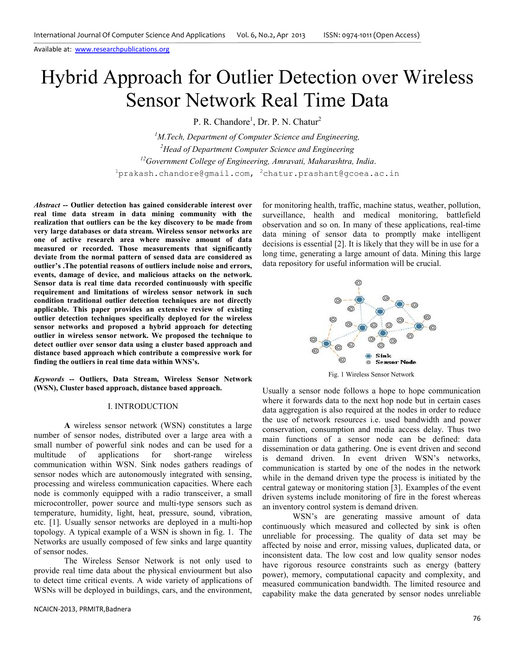P. R. Chandore<sup>1</sup>, Dr. P. N. Chatur<sup>2</sup>

*M.Tech, Department of Computer Science and Engineering, Head of Department Computer Science and Engineering Government College of Engineering, Amravati, Maharashtra, India*. prakash.chandore@gmail.com,  $2$ chatur.prashant@gcoea.ac.in

*Abstract* **-- Outlier detection has gained considerable interest over real time data stream in data mining community with the realization that outliers can be the key discovery to be made from very large databases or data stream. Wireless sensor networks are one of active research area where massive amount of data measured or recorded. Those measurements that significantly deviate from the normal pattern of sensed data are considered as outlier's .The potential reasons of outliers include noise and errors, events, damage of device, and malicious attacks on the network. Sensor data is real time data recorded continuously with specific requirement and limitations of wireless sensor network in such condition traditional outlier detection techniques are not directly applicable. This paper provides an extensive review of existing outlier detection techniques specifically deployed for the wireless sensor networks and proposed a hybrid approach for detecting outlier in wireless sensor network. We proposed the technique to detect outlier over sensor data using a cluster based approach and distance based approach which contribute a compressive work for finding the outliers in real time data within WNS's.** 

*Keywords --* **Outliers, Data Stream, Wireless Sensor Network (WSN), Cluster based approach, distance based approach.** 

## I. INTRODUCTION

**A** wireless sensor network (WSN) constitutes a large number of sensor nodes, distributed over a large area with a small number of powerful sink nodes and can be used for a multitude of applications for short-range wireless communication within WSN. Sink nodes gathers readings of sensor nodes which are autonomously integrated with sensing, processing and wireless communication capacities. Where each node is commonly equipped with a radio transceiver, a small microcontroller, power source and multi-type sensors such as temperature, humidity, light, heat, pressure, sound, vibration, etc. [1]. Usually sensor networks are deployed in a multi-hop topology. A typical example of a WSN is shown in fig. 1. The Networks are usually composed of few sinks and large quantity of sensor nodes.

The Wireless Sensor Network is not only used to provide real time data about the physical enviourment but also to detect time critical events. A wide variety of applications of WSNs will be deployed in buildings, cars, and the environment,

NCAICN-2013, PRMITR,Badnera

for monitoring health, traffic, machine status, weather, pollution, surveillance, health and medical monitoring, battlefield observation and so on. In many of these applications, real-time data mining of sensor data to promptly make intelligent decisions is essential [2]. It is likely that they will be in use for a long time, generating a large amount of data. Mining this large data repository for useful information will be crucial.



Fig. 1 Wireless Sensor Network

Usually a sensor node follows a hope to hope communication where it forwards data to the next hop node but in certain cases data aggregation is also required at the nodes in order to reduce the use of network resources i.e. used bandwidth and power conservation, consumption and media access delay. Thus two main functions of a sensor node can be defined: data dissemination or data gathering. One is event driven and second is demand driven. In event driven WSN's networks, communication is started by one of the nodes in the network while in the demand driven type the process is initiated by the central gateway or monitoring station [3]. Examples of the event driven systems include monitoring of fire in the forest whereas an inventory control system is demand driven.

WSN's are generating massive amount of data continuously which measured and collected by sink is often unreliable for processing. The quality of data set may be affected by noise and error, missing values, duplicated data, or inconsistent data. The low cost and low quality sensor nodes have rigorous resource constraints such as energy (battery power), memory, computational capacity and complexity, and measured communication bandwidth. The limited resource and capability make the data generated by sensor nodes unreliable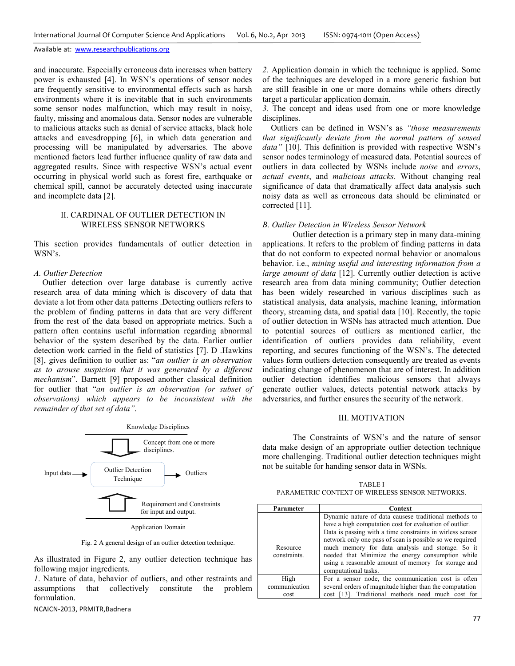and inaccurate. Especially erroneous data increases when battery power is exhausted [4]. In WSN's operations of sensor nodes are frequently sensitive to environmental effects such as harsh environments where it is inevitable that in such environments some sensor nodes malfunction, which may result in noisy, faulty, missing and anomalous data. Sensor nodes are vulnerable to malicious attacks such as denial of service attacks, black hole attacks and eavesdropping [6], in which data generation and processing will be manipulated by adversaries. The above mentioned factors lead further influence quality of raw data and aggregated results. Since with respective WSN's actual event occurring in physical world such as forest fire, earthquake or chemical spill, cannot be accurately detected using inaccurate and incomplete data [2].

# II. CARDINAL OF OUTLIER DETECTION IN WIRELESS SENSOR NETWORKS

This section provides fundamentals of outlier detection in WSN's.

# *A. Outlier Detection*

 Outlier detection over large database is currently active research area of data mining which is discovery of data that deviate a lot from other data patterns .Detecting outliers refers to the problem of finding patterns in data that are very different from the rest of the data based on appropriate metrics. Such a pattern often contains useful information regarding abnormal behavior of the system described by the data. Earlier outlier detection work carried in the field of statistics [7]. D .Hawkins [8], gives definition to outlier as: "*an outlier is an observation as to arouse suspicion that it was generated by a different mechanism*". Barnett [9] proposed another classical definition for outlier that "*an outlier is an observation (or subset of observations) which appears to be inconsistent with the remainder of that set of data"*.



Fig. 2 A general design of an outlier detection technique.

As illustrated in Figure 2, any outlier detection technique has following major ingredients.

*1*. Nature of data, behavior of outliers, and other restraints and assumptions that collectively constitute the problem formulation.

NCAICN-2013, PRMITR,Badnera

*2.* Application domain in which the technique is applied. Some of the techniques are developed in a more generic fashion but are still feasible in one or more domains while others directly target a particular application domain.

*3.* The concept and ideas used from one or more knowledge disciplines.

 Outliers can be defined in WSN's as *"those measurements that significantly deviate from the normal pattern of sensed*  data" [10]. This definition is provided with respective WSN's sensor nodes terminology of measured data. Potential sources of outliers in data collected by WSNs include *noise* and *errors*, *actual events*, and *malicious attacks*. Without changing real significance of data that dramatically affect data analysis such noisy data as well as erroneous data should be eliminated or corrected [11].

#### *B. Outlier Detection in Wireless Sensor Network*

 Outlier detection is a primary step in many data-mining applications. It refers to the problem of finding patterns in data that do not conform to expected normal behavior or anomalous behavior. i.e., *mining useful and interesting information from a large amount of data* [12]. Currently outlier detection is active research area from data mining community; Outlier detection has been widely researched in various disciplines such as statistical analysis, data analysis, machine leaning, information theory, streaming data, and spatial data [10]. Recently, the topic of outlier detection in WSNs has attracted much attention. Due to potential sources of outliers as mentioned earlier, the identification of outliers provides data reliability, event reporting, and secures functioning of the WSN's. The detected values form outliers detection consequently are treated as events indicating change of phenomenon that are of interest. In addition outlier detection identifies malicious sensors that always generate outlier values, detects potential network attacks by adversaries, and further ensures the security of the network.

# III. MOTIVATION

The Constraints of WSN's and the nature of sensor data make design of an appropriate outlier detection technique more challenging. Traditional outlier detection techniques might not be suitable for handing sensor data in WSNs.

TABLE I PARAMETRIC CONTEXT OF WIRELESS SENSOR NETWORKS.

| Parameter                | Context                                                                                                                                                                                                                                                                                                                                                                                                                           |
|--------------------------|-----------------------------------------------------------------------------------------------------------------------------------------------------------------------------------------------------------------------------------------------------------------------------------------------------------------------------------------------------------------------------------------------------------------------------------|
| Resource<br>constraints. | Dynamic nature of data causese traditional methods to<br>have a high computation cost for evaluation of outlier.<br>Data is passing with a time constraints in wirless sensor<br>network only one pass of scan is possible so we required<br>much memory for data analysis and storage. So it<br>needed that Minimize the energy consumption while<br>using a reasonable amount of memory for storage and<br>computational tasks. |
| High                     | For a sensor node, the communication cost is often                                                                                                                                                                                                                                                                                                                                                                                |
| communication            | several orders of magnitude higher than the computation                                                                                                                                                                                                                                                                                                                                                                           |
| cost                     | cost [13]. Traditional methods need much cost for                                                                                                                                                                                                                                                                                                                                                                                 |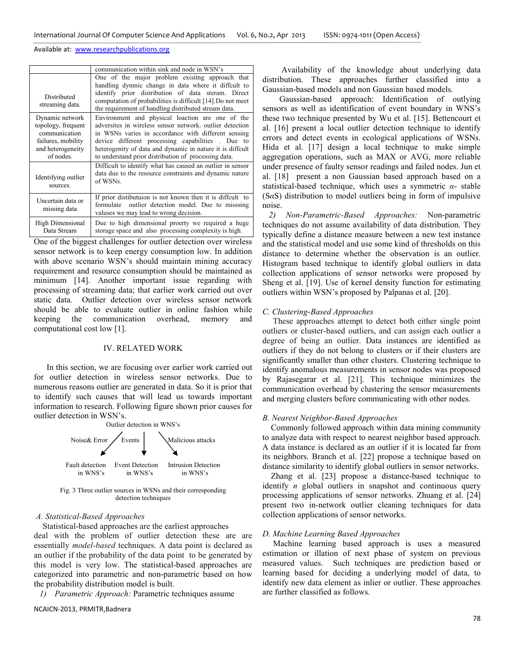|                                                                                                                | communication within sink and node in WSN's                                                                                                                                                                                                                                                                                                  |
|----------------------------------------------------------------------------------------------------------------|----------------------------------------------------------------------------------------------------------------------------------------------------------------------------------------------------------------------------------------------------------------------------------------------------------------------------------------------|
| Distributed<br>streaming data.                                                                                 | One of the major problem exisitng approach that<br>handling dynmic change in data where it diffcult to<br>identify prior distribution of data steram. Direct<br>computation of probabilities is difficult [14]. Do not meet<br>the requirement of handling distributed stream data.                                                          |
| Dynamic network<br>topology, frequent<br>communication<br>failures, mobility<br>and heterogeneity<br>of nodes. | Environment and physical loaction are one of the<br>adversites in wireless sensor network, outlier detection<br>in WSNs varies in accordance with different sensing<br>device different processing capabilities. Due to<br>heterogenity of data and dynamic in nature it is diffcult<br>to understand prior distribution of processing data. |
| Identifying outlier<br>sources.                                                                                | Difficult to identify what has caused an outlier in sensor<br>data due to the resource constraints and dynamic nature<br>of WSNs.                                                                                                                                                                                                            |
| Uncertain data or<br>missing data                                                                              | If prior distibutuion is not known then it is diffcult to<br>outlier detection model. Due to missing<br>formulate<br>valuses we may lead to wrong decision.                                                                                                                                                                                  |
| High Dimensional<br>Data Stream                                                                                | Due to high dimensional proerty we required a huge<br>storage space and also processing complexity is high.                                                                                                                                                                                                                                  |

One of the biggest challenges for outlier detection over wireless sensor network is to keep energy consumption low. In addition with above scenario WSN's should maintain mining accuracy requirement and resource consumption should be maintained as minimum [14]. Another important issue regarding with processing of streaming data; that earlier work carried out over static data. Outlier detection over wireless sensor network should be able to evaluate outlier in online fashion while keeping the communication overhead, memory and computational cost low [1].

#### IV. RELATED WORK

 In this section, we are focusing over earlier work carried out for outlier detection in wireless sensor networks. Due to numerous reasons outlier are generated in data. So it is prior that to identify such causes that will lead us towards important information to research. Following figure shown prior causes for outlier detection in WSN's.



Fig. 3 Three outlier sources in WSNs and their corresponding detection techniques

### *A. Statistical-Based Approaches*

Statistical-based approaches are the earliest approaches

deal with the problem of outlier detection these are are essentially *model-based* techniques. A data point is declared as an outlier if the probability of the data point to be generated by this model is very low. The statistical-based approaches are categorized into parametric and non-parametric based on how the probability distribution model is built.

*1) Parametric Approach:* Parametric techniques assume

NCAICN-2013, PRMITR,Badnera

 Availability of the knowledge about underlying data distribution. These approaches further classified into a Gaussian-based models and non Gaussian based models.

 Gaussian-based approach: Identification of outlying sensors as well as identification of event boundary in WNS's these two technique presented by Wu et al. [15]. Bettencourt et al. [16] present a local outlier detection technique to identify errors and detect events in ecological applications of WSNs. Hida et al. [17] design a local technique to make simple aggregation operations, such as MAX or AVG, more reliable under presence of faulty sensor readings and failed nodes. Jun et al. [18] present a non Gaussian based approach based on a statistical-based technique, which uses a symmetric *α*- stable (S*α*S) distribution to model outliers being in form of impulsive noise.

 *2) Non-Parametric-Based Approaches:* Non-parametric techniques do not assume availability of data distribution. They typically define a distance measure between a new test instance and the statistical model and use some kind of thresholds on this distance to determine whether the observation is an outlier. Histogram based technique to identify global outliers in data collection applications of sensor networks were proposed by Sheng et al. [19]. Use of kernel density function for estimating outliers within WSN's proposed by Palpanas et al. [20].

#### *C. Clustering-Based Approaches*

 These approaches attempt to detect both either single point outliers or cluster-based outliers, and can assign each outlier a degree of being an outlier. Data instances are identified as outliers if they do not belong to clusters or if their clusters are significantly smaller than other clusters. Clustering technique to identify anomalous measurements in sensor nodes was proposed by Rajasegarar et al. [21]. This technique minimizes the communication overhead by clustering the sensor measurements and merging clusters before communicating with other nodes.

# *B. Nearest Neighbor-Based Approaches*

 Commonly followed approach within data mining community to analyze data with respect to nearest neighbor based approach. A data instance is declared as an outlier if it is located far from its neighbors. Branch et al. [22] propose a technique based on distance similarity to identify global outliers in sensor networks.

 Zhang et al. [23] propose a distance-based technique to identify *n* global outliers in snapshot and continuous query processing applications of sensor networks. Zhuang et al. [24] present two in-network outlier cleaning techniques for data collection applications of sensor networks.

### *D. Machine Learning Based Approaches*

Machine learning based approach is uses a measured estimation or illation of next phase of system on previous measured values. Such techniques are prediction based or learning based for deciding a underlying model of data, to identify new data element as inlier or outlier. These approaches are further classified as follows.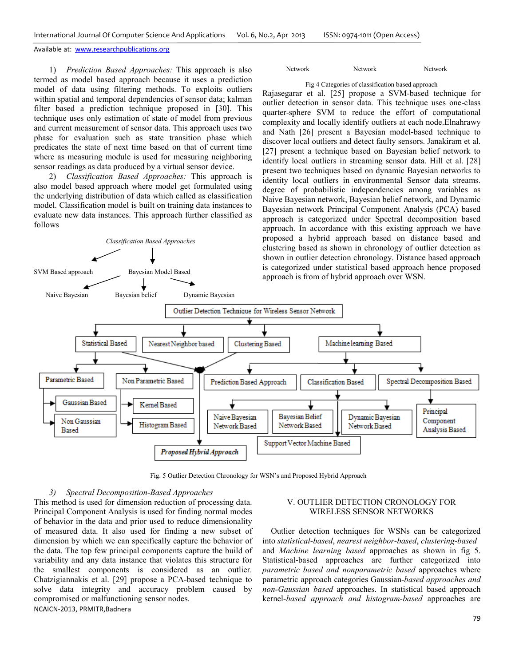1) *Prediction Based Approaches:* This approach is also termed as model based approach because it uses a prediction model of data using filtering methods. To exploits outliers within spatial and temporal dependencies of sensor data; kalman filter based a prediction technique proposed in [30]. This technique uses only estimation of state of model from previous and current measurement of sensor data. This approach uses two phase for evaluation such as state transition phase which predicates the state of next time based on that of current time where as measuring module is used for measuring neighboring sensor readings as data produced by a virtual sensor device.

2) *Classification Based Approaches:* This approach is also model based approach where model get formulated using the underlying distribution of data which called as classification model. Classification model is built on training data instances to evaluate new data instances. This approach further classified as follows

*Classification Based Approaches*

SVM Based approach Bayesian Model Based

### Network Network Network

### Fig 4 Categories of classification based approach

Rajasegarar et al. [25] propose a SVM-based technique for outlier detection in sensor data. This technique uses one-class quarter-sphere SVM to reduce the effort of computational complexity and locally identify outliers at each node.Elnahrawy and Nath [26] present a Bayesian model-based technique to discover local outliers and detect faulty sensors. Janakiram et al. [27] present a technique based on Bayesian belief network to identify local outliers in streaming sensor data. Hill et al. [28] present two techniques based on dynamic Bayesian networks to identity local outliers in environmental Sensor data streams. degree of probabilistic independencies among variables as Naive Bayesian network, Bayesian belief network, and Dynamic Bayesian network Principal Component Analysis (PCA) based approach is categorized under Spectral decomposition based approach. In accordance with this existing approach we have proposed a hybrid approach based on distance based and clustering based as shown in chronology of outlier detection as shown in outlier detection chronology. Distance based approach is categorized under statistical based approach hence proposed approach is from of hybrid approach over WSN.



Fig. 5 Outlier Detection Chronology for WSN's and Proposed Hybrid Approach

# *3) Spectral Decomposition-Based Approaches*

NCAICN-2013, PRMITR,Badnera This method is used for dimension reduction of processing data. Principal Component Analysis is used for finding normal modes of behavior in the data and prior used to reduce dimensionality of measured data. It also used for finding a new subset of dimension by which we can specifically capture the behavior of the data. The top few principal components capture the build of variability and any data instance that violates this structure for the smallest components is considered as an outlier. Chatzigiannakis et al. [29] propose a PCA-based technique to solve data integrity and accuracy problem caused by compromised or malfunctioning sensor nodes.

# V. OUTLIER DETECTION CRONOLOGY FOR WIRELESS SENSOR NETWORKS

 Outlier detection techniques for WSNs can be categorized into *statistical-based*, *nearest neighbor-based*, *clustering-based* and *Machine learning based* approaches as shown in fig 5. Statistical-based approaches are further categorized into *parametric based and nonparametric based* approaches where parametric approach categories Gaussian*-based approaches and non-Gaussian based* approaches. In statistical based approach kernel*-based approach and histogram-based* approaches are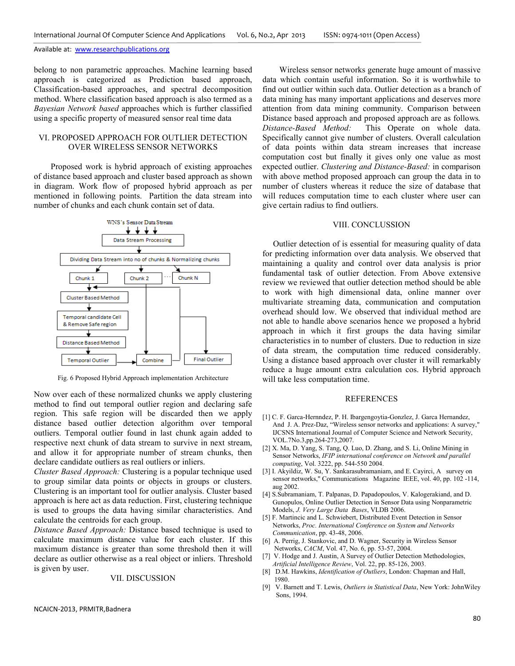belong to non parametric approaches. Machine learning based approach is categorized as Prediction based approach, Classification-based approaches, and spectral decomposition method. Where classification based approach is also termed as a *Bayesian Network based* approaches which is further classified using a specific property of measured sensor real time data

# VI. PROPOSED APPROACH FOR OUTLIER DETECTION OVER WIRELESS SENSOR NETWORKS

 Proposed work is hybrid approach of existing approaches of distance based approach and cluster based approach as shown in diagram. Work flow of proposed hybrid approach as per mentioned in following points. Partition the data stream into number of chunks and each chunk contain set of data.



Fig. 6 Proposed Hybrid Approach implementation Architecture

Now over each of these normalized chunks we apply clustering method to find out temporal outlier region and declaring safe region. This safe region will be discarded then we apply distance based outlier detection algorithm over temporal outliers. Temporal outlier found in last chunk again added to respective next chunk of data stream to survive in next stream, and allow it for appropriate number of stream chunks, then declare candidate outliers as real outliers or inliers.

*Cluster Based Approach:* Clustering is a popular technique used to group similar data points or objects in groups or clusters. Clustering is an important tool for outlier analysis. Cluster based approach is here act as data reduction. First, clustering technique is used to groups the data having similar characteristics. And calculate the centroids for each group.

*Distance Based Approach:* Distance based technique is used to calculate maximum distance value for each cluster. If this maximum distance is greater than some threshold then it will declare as outlier otherwise as a real object or inliers. Threshold is given by user.

### VII. DISCUSSION

 Wireless sensor networks generate huge amount of massive data which contain useful information. So it is worthwhile to find out outlier within such data. Outlier detection as a branch of data mining has many important applications and deserves more attention from data mining community. Comparison between Distance based approach and proposed approach are as follows*. Distance-Based Method:* This Operate on whole data. Specifically cannot give number of clusters. Overall calculation of data points within data stream increases that increase computation cost but finally it gives only one value as most expected outlier. *Clustering and Distance-Based:* in comparison with above method proposed approach can group the data in to number of clusters whereas it reduce the size of database that will reduces computation time to each cluster where user can give certain radius to find outliers.

### VIII. CONCLUSSION

 Outlier detection of is essential for measuring quality of data for predicting information over data analysis. We observed that maintaining a quality and control over data analysis is prior fundamental task of outlier detection. From Above extensive review we reviewed that outlier detection method should be able to work with high dimensional data, online manner over multivariate streaming data, communication and computation overhead should low. We observed that individual method are not able to handle above scenarios hence we proposed a hybrid approach in which it first groups the data having similar characteristics in to number of clusters. Due to reduction in size of data stream, the computation time reduced considerably. Using a distance based approach over cluster it will remarkably reduce a huge amount extra calculation cos. Hybrid approach will take less computation time.

### REFERENCES

- [1] C. F. Garca-Hernndez, P. H. Ibargengoytia-Gonzlez, J. Garca Hernandez, And J. A. Prez-Daz, "Wireless sensor networks and applications: A survey," IJCSNS International Journal of Computer Science and Network Security, VOL.7No.3,pp.264-273,2007.
- [2] X. Ma, D. Yang, S. Tang, Q. Luo, D. Zhang, and S. Li, Online Mining in Sensor Networks, *IFIP international conference on Network and parallel computing*, Vol. 3222, pp. 544-550 2004.
- [3] I. Akyildiz, W. Su, Y. Sankarasubramaniam, and E. Cayirci, A survey on sensor networks," Communications Magazine IEEE, vol. 40, pp. 102 -114, aug 2002.
- [4] S.Subramaniam, T. Palpanas, D. Papadopoulos, V. Kalogerakiand, and D. Gunopulos, Online Outlier Detection in Sensor Data using Nonparametric Models, *J. Very Large Data Bases*, VLDB 2006.
- [5] F. Martincic and L. Schwiebert, Distributed Event Detection in Sensor Networks, *Proc. International Conference on System and Networks Communication*, pp. 43-48, 2006.
- [6] A. Perrig, J. Stankovic, and D. Wagner, Security in Wireless Sensor Networks, *CACM*, Vol. 47, No. 6, pp. 53-57, 2004.
- [7] V. Hodge and J. Austin, A Survey of Outlier Detection Methodologies,  *Artificial Intelligence Review*, Vol. 22, pp. 85-126, 2003.
- [8] D.M. Hawkins, *Identification of Outliers*, London: Chapman and Hall, 1980.
- [9] V. Barnett and T. Lewis, *Outliers in Statistical Data*, New York: JohnWiley Sons, 1994.